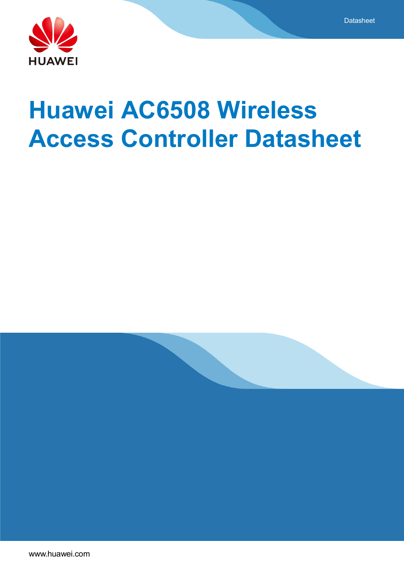

# **Huawei AC6508 Wireless Access Controller Datasheet**

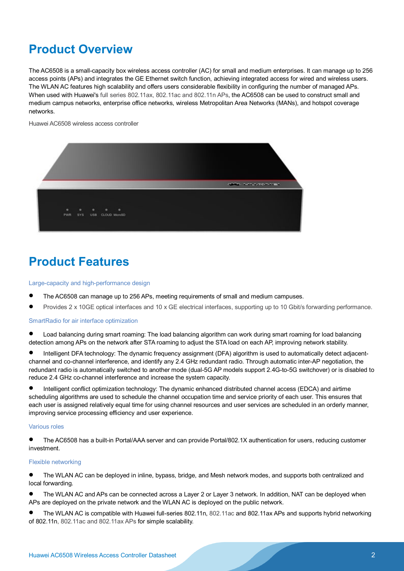# **Product Overview**

The AC6508 is a small-capacity box wireless access controller (AC) for small and medium enterprises. It can manage up to 256 access points (APs) and integrates the GE Ethernet switch function, achieving integrated access for wired and wireless users. The WLAN AC features high scalability and offers users considerable flexibility in configuring the number of managed APs. When used with Huawei's full series 802.11ax, 802.11ac and 802.11n APs, the AC6508 can be used to construct small and medium campus networks, enterprise office networks, wireless Metropolitan Area Networks (MANs), and hotspot coverage networks.

Huawei AC6508 wireless access controller



# **Product Features**

Large-capacity and high-performance design

- The AC6508 can manage up to 256 APs, meeting requirements of small and medium campuses.
- Provides 2 x 10GE optical interfaces and 10 x GE electrical interfaces, supporting up to 10 Gbit/s forwarding performance.

#### SmartRadio for air interface optimization

- Load balancing during smart roaming: The load balancing algorithm can work during smart roaming for load balancing detection among APs on the network after STA roaming to adjust the STA load on each AP, improving network stability.
- Intelligent DFA technology: The dynamic frequency assignment (DFA) algorithm is used to automatically detect adjacentchannel and co-channel interference, and identify any 2.4 GHz redundant radio. Through automatic inter-AP negotiation, the redundant radio is automatically switched to another mode (dual-5G AP models support 2.4G-to-5G switchover) or is disabled to reduce 2.4 GHz co-channel interference and increase the system capacity.
- Intelligent conflict optimization technology: The dynamic enhanced distributed channel access (EDCA) and airtime scheduling algorithms are used to schedule the channel occupation time and service priority of each user. This ensures that each user is assigned relatively equal time for using channel resources and user services are scheduled in an orderly manner, improving service processing efficiency and user experience.

### Various roles

 The AC6508 has a built-in Portal/AAA server and can provide Portal/802.1X authentication for users, reducing customer investment.

#### Flexible networking

- The WLAN AC can be deployed in inline, bypass, bridge, and Mesh network modes, and supports both centralized and local forwarding.
- The WLAN AC and APs can be connected across a Layer 2 or Layer 3 network. In addition, NAT can be deployed when APs are deployed on the private network and the WLAN AC is deployed on the public network.
- The WLAN AC is compatible with Huawei full-series 802.11n, 802.11ac and 802.11ax APs and supports hybrid networking of 802.11n, 802.11ac and 802.11ax APs for simple scalability.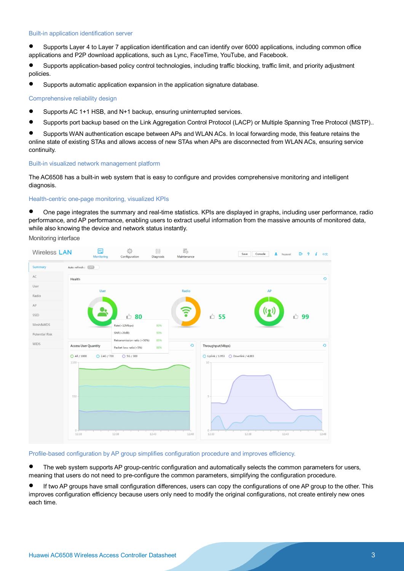#### Built-in application identification server

 Supports Layer 4 to Layer 7 application identification and can identify over 6000 applications, including common office applications and P2P download applications, such as Lync, FaceTime, YouTube, and Facebook.

 Supports application-based policy control technologies, including traffic blocking, traffic limit, and priority adjustment policies.

Supports automatic application expansion in the application signature database.

#### Comprehensive reliability design

- Supports AC 1+1 HSB, and N+1 backup, ensuring uninterrupted services.
- Supports port backup based on the Link Aggregation Control Protocol (LACP) or Multiple Spanning Tree Protocol (MSTP)..

 Supports WAN authentication escape between APs and WLAN ACs. In local forwarding mode, this feature retains the online state of existing STAs and allows access of new STAs when APs are disconnected from WLAN ACs, ensuring service continuity.

#### Built-in visualized network management platform

The AC6508 has a built-in web system that is easy to configure and provides comprehensive monitoring and intelligent diagnosis.

#### Health-centric one-page monitoring, visualized KPIs

 One page integrates the summary and real-time statistics. KPIs are displayed in graphs, including user performance, radio performance, and AP performance, enabling users to extract useful information from the massive amounts of monitored data, while also knowing the device and network status instantly.

Monitoring interface



#### Profile-based configuration by AP group simplifies configuration procedure and improves efficiency.

 The web system supports AP group-centric configuration and automatically selects the common parameters for users, meaning that users do not need to pre-configure the common parameters, simplifying the configuration procedure.

 If two AP groups have small configuration differences, users can copy the configurations of one AP group to the other. This improves configuration efficiency because users only need to modify the original configurations, not create entirely new ones each time.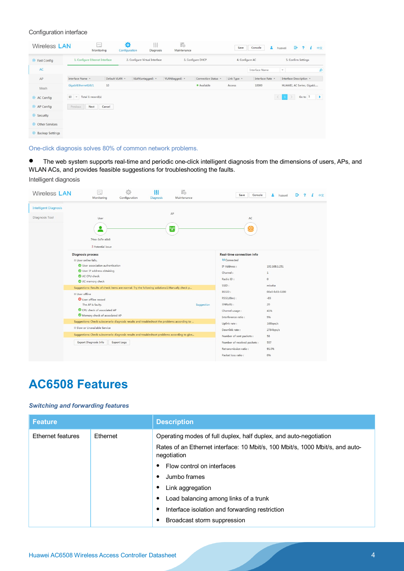#### Configuration interface

| Wireless LAN            |                                  | Jahrt<br>--<br>Monitoring | Ð<br>Configuration | 排<br>Diagnosis                 | 罭<br>Maintenance |                     | Save        | A.<br>Console    | G<br>$\overline{2}$<br>huawei<br>i. | 中文            |
|-------------------------|----------------------------------|---------------------------|--------------------|--------------------------------|------------------|---------------------|-------------|------------------|-------------------------------------|---------------|
| $\odot$ Fast Config     | 1. Configure Ethernet Interface  |                           |                    | 2. Configure Virtual Interface |                  | 3. Configure DHCP   |             | 4. Configure AC  | 5. Confirm Settings                 |               |
| AC                      |                                  |                           |                    |                                |                  |                     |             | Interface Name   | $\overline{\phantom{a}}$            | $\alpha$      |
| AP                      | Interface Name +                 | Default VLAN A            |                    | VLAN(untagged) -               | VLAN(tagged) ~   | Connection Status 4 | Link Type - | Interface Rate A | Interface Description +             |               |
| Mesh                    | GigabitEthernet0/0/1             | 10                        |                    |                                |                  | · Available         | Access      | 10000            | HUAWEI, AC Series, Gigabi           |               |
| AC Config               | $\tau$ Total 1 record(s)<br>$10$ |                           |                    |                                |                  |                     |             | $\langle$        | Go to 1                             | $\rightarrow$ |
| AP Config               | Previous<br>Next                 | Cancel                    |                    |                                |                  |                     |             |                  |                                     |               |
| Security                |                                  |                           |                    |                                |                  |                     |             |                  |                                     |               |
| <b>O</b> Other Services |                                  |                           |                    |                                |                  |                     |             |                  |                                     |               |
| <b>Backup Settings</b>  |                                  |                           |                    |                                |                  |                     |             |                  |                                     |               |

One-click diagnosis solves 80% of common network problems.

 The web system supports real-time and periodic one-click intelligent diagnosis from the dimensions of users, APs, and WLAN ACs, and provides feasible suggestions for troubleshooting the faults.

Intelligent diagnosis



# **AC6508 Features**

### *Switching and forwarding features*

| <b>Feature</b>           |          | <b>Description</b>                                                                                                                                                                                                                                                                                                                                                                        |
|--------------------------|----------|-------------------------------------------------------------------------------------------------------------------------------------------------------------------------------------------------------------------------------------------------------------------------------------------------------------------------------------------------------------------------------------------|
| <b>Ethernet features</b> | Ethernet | Operating modes of full duplex, half duplex, and auto-negotiation<br>Rates of an Ethernet interface: 10 Mbit/s, 100 Mbit/s, 1000 Mbit/s, and auto-<br>negotiation<br>Flow control on interfaces<br>Jumbo frames<br>$\bullet$<br>Link aggregation<br>٠<br>Load balancing among links of a trunk<br>٠<br>Interface isolation and forwarding restriction<br>٠<br>Broadcast storm suppression |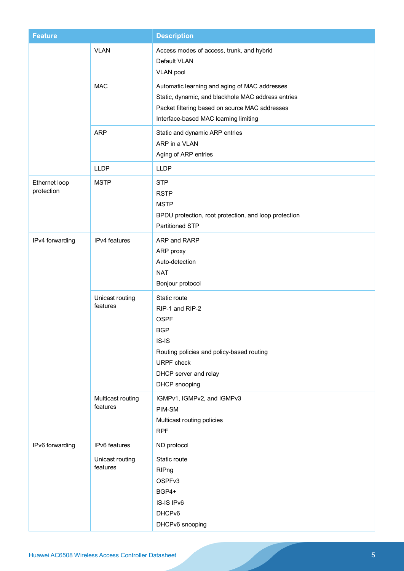| <b>Feature</b>              |                               | <b>Description</b>                                                                                                                                                                             |  |  |
|-----------------------------|-------------------------------|------------------------------------------------------------------------------------------------------------------------------------------------------------------------------------------------|--|--|
|                             | <b>VLAN</b>                   | Access modes of access, trunk, and hybrid<br>Default VLAN<br>VLAN pool                                                                                                                         |  |  |
|                             | <b>MAC</b>                    | Automatic learning and aging of MAC addresses<br>Static, dynamic, and blackhole MAC address entries<br>Packet filtering based on source MAC addresses<br>Interface-based MAC learning limiting |  |  |
|                             | <b>ARP</b>                    | Static and dynamic ARP entries<br>ARP in a VLAN<br>Aging of ARP entries                                                                                                                        |  |  |
|                             | <b>LLDP</b>                   | <b>LLDP</b>                                                                                                                                                                                    |  |  |
| Ethernet loop<br>protection | <b>MSTP</b>                   | <b>STP</b><br><b>RSTP</b><br><b>MSTP</b><br>BPDU protection, root protection, and loop protection<br><b>Partitioned STP</b>                                                                    |  |  |
| IPv4 forwarding             | IPv4 features                 | ARP and RARP<br>ARP proxy<br>Auto-detection<br><b>NAT</b><br>Bonjour protocol                                                                                                                  |  |  |
|                             | Unicast routing<br>features   | Static route<br>RIP-1 and RIP-2<br><b>OSPF</b><br><b>BGP</b><br>$IS-IS$<br>Routing policies and policy-based routing<br><b>URPF</b> check<br>DHCP server and relay<br>DHCP snooping            |  |  |
|                             | Multicast routing<br>features | IGMPv1, IGMPv2, and IGMPv3<br>PIM-SM<br>Multicast routing policies<br><b>RPF</b>                                                                                                               |  |  |
| IPv6 forwarding             | IPv6 features                 | ND protocol                                                                                                                                                                                    |  |  |
|                             | Unicast routing<br>features   | Static route<br>RIPng<br>OSPFv3<br>BGP4+<br>IS-IS IPv6<br>DHCPv6<br>DHCPv6 snooping                                                                                                            |  |  |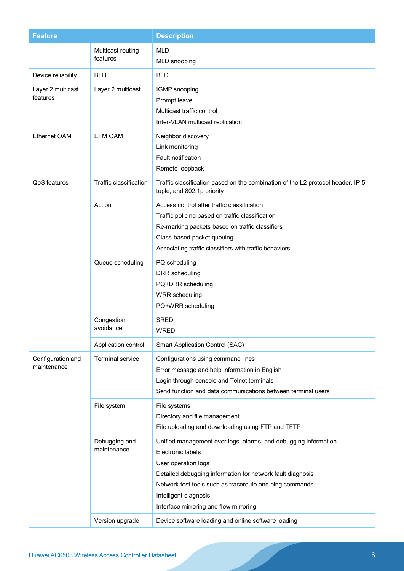| <b>Feature</b>                   |                               | <b>Description</b>                                                                                                                                                                                                                                                                                      |
|----------------------------------|-------------------------------|---------------------------------------------------------------------------------------------------------------------------------------------------------------------------------------------------------------------------------------------------------------------------------------------------------|
|                                  | Multicast routing<br>features | <b>MLD</b><br>MLD snooping                                                                                                                                                                                                                                                                              |
| Device reliability               | <b>BFD</b>                    | <b>BFD</b>                                                                                                                                                                                                                                                                                              |
| Layer 2 multicast<br>features    | Layer 2 multicast             | IGMP snooping<br>Prompt leave<br>Multicast traffic control<br>Inter-VLAN multicast replication                                                                                                                                                                                                          |
| <b>Ethernet OAM</b>              | <b>EFM OAM</b>                | Neighbor discovery<br>Link monitoring<br>Fault notification<br>Remote loopback                                                                                                                                                                                                                          |
| QoS features                     | Traffic classification        | Traffic classification based on the combination of the L2 protocol header, IP 5-<br>tuple, and 802.1p priority                                                                                                                                                                                          |
|                                  | Action                        | Access control after traffic classification<br>Traffic policing based on traffic classification<br>Re-marking packets based on traffic classifiers<br>Class-based packet queuing<br>Associating traffic classifiers with traffic behaviors                                                              |
|                                  | Queue scheduling              | PQ scheduling<br>DRR scheduling<br>PQ+DRR scheduling<br><b>WRR</b> scheduling<br>PQ+WRR scheduling                                                                                                                                                                                                      |
|                                  | Congestion<br>avoidance       | <b>SRED</b><br><b>WRED</b>                                                                                                                                                                                                                                                                              |
|                                  | Application control           | Smart Application Control (SAC)                                                                                                                                                                                                                                                                         |
| Configuration and<br>maintenance | <b>Terminal service</b>       | Configurations using command lines<br>Error message and help information in English<br>Login through console and Telnet terminals<br>Send function and data communications between terminal users                                                                                                       |
|                                  | File system                   | File systems<br>Directory and file management<br>File uploading and downloading using FTP and TFTP                                                                                                                                                                                                      |
|                                  | Debugging and<br>maintenance  | Unified management over logs, alarms, and debugging information<br>Electronic labels<br>User operation logs<br>Detailed debugging information for network fault diagnosis<br>Network test tools such as traceroute and ping commands<br>Intelligent diagnosis<br>Interface mirroring and flow mirroring |
|                                  | Version upgrade               | Device software loading and online software loading                                                                                                                                                                                                                                                     |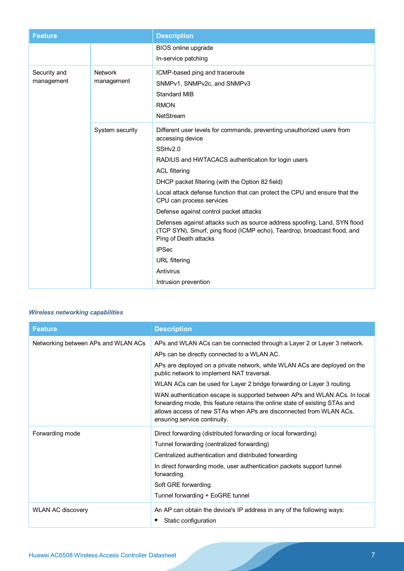| <b>Feature</b>             |                              | <b>Description</b>                                                                                                                                                                                                                                                                                                                                                                                                                                                                                                                                                                                                                                                     |
|----------------------------|------------------------------|------------------------------------------------------------------------------------------------------------------------------------------------------------------------------------------------------------------------------------------------------------------------------------------------------------------------------------------------------------------------------------------------------------------------------------------------------------------------------------------------------------------------------------------------------------------------------------------------------------------------------------------------------------------------|
|                            |                              | BIOS online upgrade                                                                                                                                                                                                                                                                                                                                                                                                                                                                                                                                                                                                                                                    |
|                            |                              | In-service patching                                                                                                                                                                                                                                                                                                                                                                                                                                                                                                                                                                                                                                                    |
| Security and<br>management | <b>Network</b><br>management | ICMP-based ping and traceroute<br>SNMPv1, SNMPv2c, and SNMPv3<br><b>Standard MIB</b><br><b>RMON</b><br>NetStream                                                                                                                                                                                                                                                                                                                                                                                                                                                                                                                                                       |
|                            | System security              | Different user levels for commands, preventing unauthorized users from<br>accessing device<br>SSH <sub>v2.0</sub><br>RADIUS and HWTACACS authentication for login users<br><b>ACL filtering</b><br>DHCP packet filtering (with the Option 82 field)<br>Local attack defense function that can protect the CPU and ensure that the<br>CPU can process services<br>Defense against control packet attacks<br>Defenses against attacks such as source address spoofing, Land, SYN flood<br>(TCP SYN), Smurf, ping flood (ICMP echo), Teardrop, broadcast flood, and<br>Ping of Death attacks<br><b>IPSec</b><br><b>URL</b> filtering<br>Antivirus<br>Intrusion prevention |

# *Wireless networking capabilities*

| <b>Feature</b>                      | <b>Description</b>                                                                                                                                                                                                                                             |
|-------------------------------------|----------------------------------------------------------------------------------------------------------------------------------------------------------------------------------------------------------------------------------------------------------------|
| Networking between APs and WLAN ACs | APs and WLAN ACs can be connected through a Layer 2 or Layer 3 network.                                                                                                                                                                                        |
|                                     | APs can be directly connected to a WLAN AC.                                                                                                                                                                                                                    |
|                                     | APs are deployed on a private network, while WLAN ACs are deployed on the<br>public network to implement NAT traversal.                                                                                                                                        |
|                                     | WLAN ACs can be used for Layer 2 bridge forwarding or Layer 3 routing.                                                                                                                                                                                         |
|                                     | WAN authentication escape is supported between APs and WLAN ACs. In local<br>forwarding mode, this feature retains the online state of existing STAs and<br>allows access of new STAs when APs are disconnected from WLAN ACs,<br>ensuring service continuity. |
| Forwarding mode                     | Direct forwarding (distributed forwarding or local forwarding)                                                                                                                                                                                                 |
|                                     | Tunnel forwarding (centralized forwarding)                                                                                                                                                                                                                     |
|                                     | Centralized authentication and distributed forwarding                                                                                                                                                                                                          |
|                                     | In direct forwarding mode, user authentication packets support tunnel<br>forwarding.                                                                                                                                                                           |
|                                     | Soft GRE forwarding.                                                                                                                                                                                                                                           |
|                                     | Tunnel forwarding + EoGRE tunnel                                                                                                                                                                                                                               |
| <b>WLAN AC discovery</b>            | An AP can obtain the device's IP address in any of the following ways:<br>Static configuration                                                                                                                                                                 |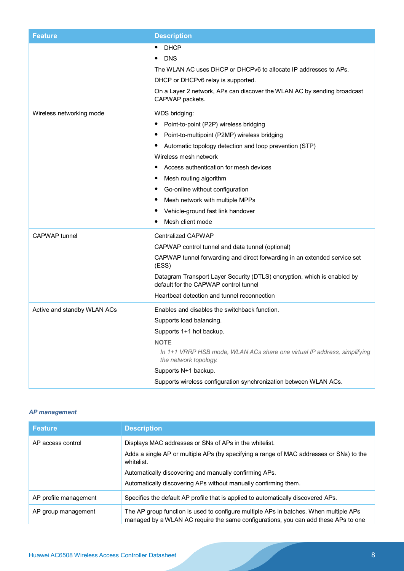| <b>Feature</b>              | <b>Description</b>                                                                                                                                                                                                                                                                                                                                                                                                                                                    |
|-----------------------------|-----------------------------------------------------------------------------------------------------------------------------------------------------------------------------------------------------------------------------------------------------------------------------------------------------------------------------------------------------------------------------------------------------------------------------------------------------------------------|
|                             | <b>DHCP</b><br>٠<br><b>DNS</b><br>٠<br>The WLAN AC uses DHCP or DHCPv6 to allocate IP addresses to APs.<br>DHCP or DHCPv6 relay is supported.<br>On a Layer 2 network, APs can discover the WLAN AC by sending broadcast<br>CAPWAP packets.                                                                                                                                                                                                                           |
| Wireless networking mode    | WDS bridging:<br>Point-to-point (P2P) wireless bridging<br>٠<br>Point-to-multipoint (P2MP) wireless bridging<br>$\bullet$<br>Automatic topology detection and loop prevention (STP)<br>٠<br>Wireless mesh network<br>Access authentication for mesh devices<br>Mesh routing algorithm<br>٠<br>Go-online without configuration<br>$\bullet$<br>Mesh network with multiple MPPs<br>$\bullet$<br>Vehicle-ground fast link handover<br>$\bullet$<br>Mesh client mode<br>٠ |
| <b>CAPWAP</b> tunnel        | <b>Centralized CAPWAP</b><br>CAPWAP control tunnel and data tunnel (optional)<br>CAPWAP tunnel forwarding and direct forwarding in an extended service set<br>(ESS)<br>Datagram Transport Layer Security (DTLS) encryption, which is enabled by<br>default for the CAPWAP control tunnel<br>Heartbeat detection and tunnel reconnection                                                                                                                               |
| Active and standby WLAN ACs | Enables and disables the switchback function.<br>Supports load balancing.<br>Supports 1+1 hot backup.<br><b>NOTE</b><br>In 1+1 VRRP HSB mode, WLAN ACs share one virtual IP address, simplifying<br>the network topology.<br>Supports N+1 backup.<br>Supports wireless configuration synchronization between WLAN ACs.                                                                                                                                                |

# *AP management*

| <b>Feature</b>        | <b>Description</b>                                                                                                                                                                                                                                                                           |
|-----------------------|----------------------------------------------------------------------------------------------------------------------------------------------------------------------------------------------------------------------------------------------------------------------------------------------|
| AP access control     | Displays MAC addresses or SNs of APs in the whitelist.<br>Adds a single AP or multiple APs (by specifying a range of MAC addresses or SNs) to the<br>whitelist.<br>Automatically discovering and manually confirming APs.<br>Automatically discovering APs without manually confirming them. |
| AP profile management | Specifies the default AP profile that is applied to automatically discovered APs.                                                                                                                                                                                                            |
| AP group management   | The AP group function is used to configure multiple APs in batches. When multiple APs<br>managed by a WLAN AC require the same configurations, you can add these APs to one                                                                                                                  |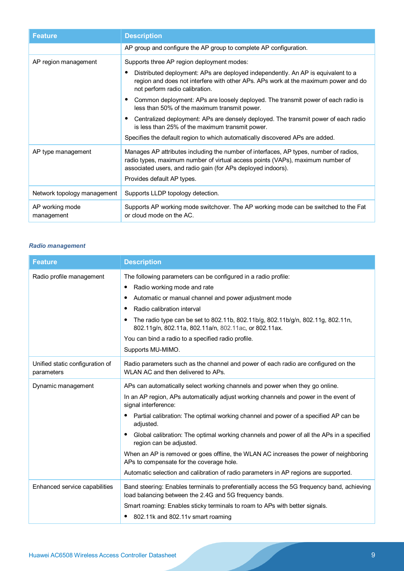| <b>Feature</b>                | <b>Description</b>                                                                                                                                                                                                                                                                                                                                                                                                                                                                                                                                                                                                   |
|-------------------------------|----------------------------------------------------------------------------------------------------------------------------------------------------------------------------------------------------------------------------------------------------------------------------------------------------------------------------------------------------------------------------------------------------------------------------------------------------------------------------------------------------------------------------------------------------------------------------------------------------------------------|
|                               | AP group and configure the AP group to complete AP configuration.                                                                                                                                                                                                                                                                                                                                                                                                                                                                                                                                                    |
| AP region management          | Supports three AP region deployment modes:<br>Distributed deployment: APs are deployed independently. An AP is equivalent to a<br>region and does not interfere with other APs. APs work at the maximum power and do<br>not perform radio calibration.<br>Common deployment: APs are loosely deployed. The transmit power of each radio is<br>less than 50% of the maximum transmit power.<br>Centralized deployment: APs are densely deployed. The transmit power of each radio<br>is less than 25% of the maximum transmit power.<br>Specifies the default region to which automatically discovered APs are added. |
| AP type management            | Manages AP attributes including the number of interfaces, AP types, number of radios,<br>radio types, maximum number of virtual access points (VAPs), maximum number of<br>associated users, and radio gain (for APs deployed indoors).<br>Provides default AP types.                                                                                                                                                                                                                                                                                                                                                |
| Network topology management   | Supports LLDP topology detection.                                                                                                                                                                                                                                                                                                                                                                                                                                                                                                                                                                                    |
| AP working mode<br>management | Supports AP working mode switchover. The AP working mode can be switched to the Fat<br>or cloud mode on the AC.                                                                                                                                                                                                                                                                                                                                                                                                                                                                                                      |

# *Radio management*

| <b>Feature</b>                                | <b>Description</b>                                                                                                                                                                                                                                                                                                                                                                                                                                                                                                                                                                                                                                   |
|-----------------------------------------------|------------------------------------------------------------------------------------------------------------------------------------------------------------------------------------------------------------------------------------------------------------------------------------------------------------------------------------------------------------------------------------------------------------------------------------------------------------------------------------------------------------------------------------------------------------------------------------------------------------------------------------------------------|
| Radio profile management                      | The following parameters can be configured in a radio profile:<br>Radio working mode and rate<br>٠<br>Automatic or manual channel and power adjustment mode<br>Radio calibration interval<br>٠<br>The radio type can be set to 802.11b, 802.11b/g, 802.11b/g/n, 802.11g, 802.11n,<br>802.11g/n, 802.11a, 802.11a/n, 802.11ac, or 802.11ax.                                                                                                                                                                                                                                                                                                           |
|                                               | You can bind a radio to a specified radio profile.<br>Supports MU-MIMO.                                                                                                                                                                                                                                                                                                                                                                                                                                                                                                                                                                              |
| Unified static configuration of<br>parameters | Radio parameters such as the channel and power of each radio are configured on the<br>WLAN AC and then delivered to APs.                                                                                                                                                                                                                                                                                                                                                                                                                                                                                                                             |
| Dynamic management                            | APs can automatically select working channels and power when they go online.<br>In an AP region, APs automatically adjust working channels and power in the event of<br>signal interference:<br>Partial calibration: The optimal working channel and power of a specified AP can be<br>adjusted.<br>Global calibration: The optimal working channels and power of all the APs in a specified<br>region can be adjusted.<br>When an AP is removed or goes offline, the WLAN AC increases the power of neighboring<br>APs to compensate for the coverage hole.<br>Automatic selection and calibration of radio parameters in AP regions are supported. |
| Enhanced service capabilities                 | Band steering: Enables terminals to preferentially access the 5G frequency band, achieving<br>load balancing between the 2.4G and 5G frequency bands.<br>Smart roaming: Enables sticky terminals to roam to APs with better signals.<br>802.11k and 802.11v smart roaming                                                                                                                                                                                                                                                                                                                                                                            |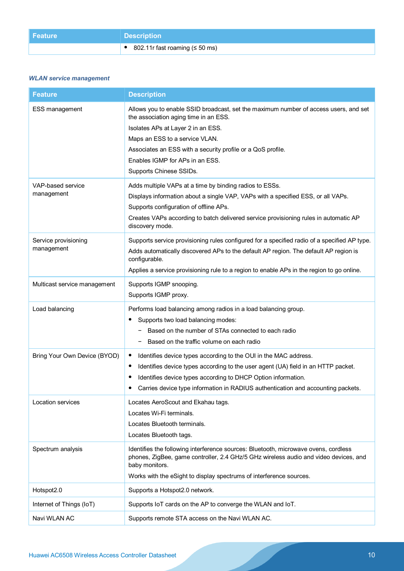| Feature | <b>Description</b>               |
|---------|----------------------------------|
|         | ● 802.11r fast roaming (≤ 50 ms) |

# *WLAN service management*

| <b>Feature</b>                     | <b>Description</b>                                                                                                                                                                                                                                                                                                                   |
|------------------------------------|--------------------------------------------------------------------------------------------------------------------------------------------------------------------------------------------------------------------------------------------------------------------------------------------------------------------------------------|
| ESS management                     | Allows you to enable SSID broadcast, set the maximum number of access users, and set<br>the association aging time in an ESS.<br>Isolates APs at Layer 2 in an ESS.<br>Maps an ESS to a service VLAN.<br>Associates an ESS with a security profile or a QoS profile.<br>Enables IGMP for APs in an ESS.<br>Supports Chinese SSIDs.   |
| VAP-based service<br>management    | Adds multiple VAPs at a time by binding radios to ESSs.<br>Displays information about a single VAP, VAPs with a specified ESS, or all VAPs.<br>Supports configuration of offline APs.<br>Creates VAPs according to batch delivered service provisioning rules in automatic AP<br>discovery mode.                                     |
| Service provisioning<br>management | Supports service provisioning rules configured for a specified radio of a specified AP type.<br>Adds automatically discovered APs to the default AP region. The default AP region is<br>configurable.<br>Applies a service provisioning rule to a region to enable APs in the region to go online.                                   |
| Multicast service management       | Supports IGMP snooping.<br>Supports IGMP proxy.                                                                                                                                                                                                                                                                                      |
| Load balancing                     | Performs load balancing among radios in a load balancing group.<br>Supports two load balancing modes:<br>Based on the number of STAs connected to each radio<br>Based on the traffic volume on each radio                                                                                                                            |
| Bring Your Own Device (BYOD)       | Identifies device types according to the OUI in the MAC address.<br>$\bullet$<br>Identifies device types according to the user agent (UA) field in an HTTP packet.<br>$\bullet$<br>Identifies device types according to DHCP Option information.<br>Carries device type information in RADIUS authentication and accounting packets. |
| Location services                  | Locates AeroScout and Ekahau tags.<br>Locates Wi-Fi terminals.<br>Locates Bluetooth terminals.<br>Locates Bluetooth tags.                                                                                                                                                                                                            |
| Spectrum analysis                  | Identifies the following interference sources: Bluetooth, microwave ovens, cordless<br>phones, ZigBee, game controller, 2.4 GHz/5 GHz wireless audio and video devices, and<br>baby monitors.<br>Works with the eSight to display spectrums of interference sources.                                                                 |
| Hotspot2.0                         | Supports a Hotspot2.0 network.                                                                                                                                                                                                                                                                                                       |
| Internet of Things (IoT)           | Supports IoT cards on the AP to converge the WLAN and IoT.                                                                                                                                                                                                                                                                           |
| Navi WLAN AC                       | Supports remote STA access on the Navi WLAN AC.                                                                                                                                                                                                                                                                                      |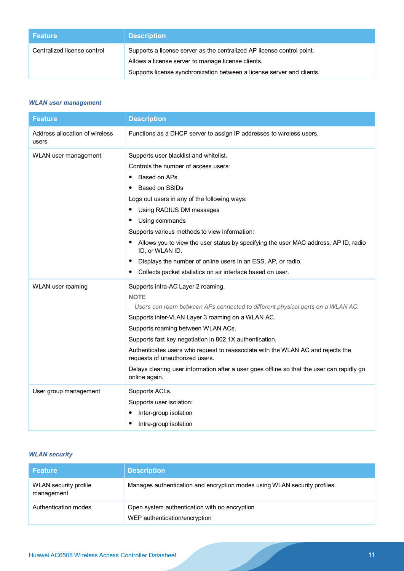| <b>Feature</b>              | <b>Description</b>                                                                                                                                                                                     |
|-----------------------------|--------------------------------------------------------------------------------------------------------------------------------------------------------------------------------------------------------|
| Centralized license control | Supports a license server as the centralized AP license control point.<br>Allows a license server to manage license clients.<br>Supports license synchronization between a license server and clients. |

# *WLAN user management*

| <b>Feature</b>                          | <b>Description</b>                                                                                                 |
|-----------------------------------------|--------------------------------------------------------------------------------------------------------------------|
| Address allocation of wireless<br>users | Functions as a DHCP server to assign IP addresses to wireless users.                                               |
| WLAN user management                    | Supports user blacklist and whitelist.                                                                             |
|                                         | Controls the number of access users:                                                                               |
|                                         | Based on APs                                                                                                       |
|                                         | Based on SSIDs                                                                                                     |
|                                         | Logs out users in any of the following ways:                                                                       |
|                                         | Using RADIUS DM messages                                                                                           |
|                                         | Using commands                                                                                                     |
|                                         | Supports various methods to view information:                                                                      |
|                                         | Allows you to view the user status by specifying the user MAC address, AP ID, radio<br>ID, or WLAN ID.             |
|                                         | Displays the number of online users in an ESS, AP, or radio.                                                       |
|                                         | Collects packet statistics on air interface based on user.<br>٠                                                    |
| WLAN user roaming                       | Supports intra-AC Layer 2 roaming.                                                                                 |
|                                         | <b>NOTE</b>                                                                                                        |
|                                         | Users can roam between APs connected to different physical ports on a WLAN AC.                                     |
|                                         | Supports inter-VLAN Layer 3 roaming on a WLAN AC.                                                                  |
|                                         | Supports roaming between WLAN ACs.                                                                                 |
|                                         | Supports fast key negotiation in 802.1X authentication.                                                            |
|                                         | Authenticates users who request to reassociate with the WLAN AC and rejects the<br>requests of unauthorized users. |
|                                         | Delays clearing user information after a user goes offline so that the user can rapidly go<br>online again.        |
| User group management                   | Supports ACLs.                                                                                                     |
|                                         | Supports user isolation:                                                                                           |
|                                         | Inter-group isolation                                                                                              |
|                                         | Intra-group isolation                                                                                              |

# *WLAN security*

| <b>Feature</b>                      | <b>Description</b>                                                             |
|-------------------------------------|--------------------------------------------------------------------------------|
| WLAN security profile<br>management | Manages authentication and encryption modes using WLAN security profiles.      |
| Authentication modes                | Open system authentication with no encryption<br>WEP authentication/encryption |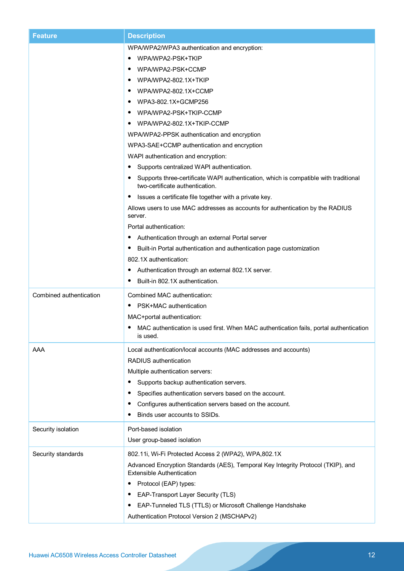| <b>Feature</b>          | <b>Description</b>                                                                                                      |
|-------------------------|-------------------------------------------------------------------------------------------------------------------------|
|                         | WPA/WPA2/WPA3 authentication and encryption:                                                                            |
|                         | WPA/WPA2-PSK+TKIP                                                                                                       |
|                         | WPA/WPA2-PSK+CCMP                                                                                                       |
|                         | WPA/WPA2-802.1X+TKIP<br>$\bullet$                                                                                       |
|                         | WPA/WPA2-802.1X+CCMP                                                                                                    |
|                         | WPA3-802.1X+GCMP256                                                                                                     |
|                         | WPA/WPA2-PSK+TKIP-CCMP                                                                                                  |
|                         | WPA/WPA2-802.1X+TKIP-CCMP                                                                                               |
|                         | WPA/WPA2-PPSK authentication and encryption                                                                             |
|                         | WPA3-SAE+CCMP authentication and encryption                                                                             |
|                         | WAPI authentication and encryption:                                                                                     |
|                         | Supports centralized WAPI authentication.                                                                               |
|                         | Supports three-certificate WAPI authentication, which is compatible with traditional<br>two-certificate authentication. |
|                         | Issues a certificate file together with a private key.                                                                  |
|                         | Allows users to use MAC addresses as accounts for authentication by the RADIUS<br>server.                               |
|                         | Portal authentication:                                                                                                  |
|                         | Authentication through an external Portal server                                                                        |
|                         | Built-in Portal authentication and authentication page customization                                                    |
|                         | 802.1X authentication:                                                                                                  |
|                         | Authentication through an external 802.1X server.                                                                       |
|                         | Built-in 802.1X authentication.                                                                                         |
| Combined authentication | Combined MAC authentication:                                                                                            |
|                         | PSK+MAC authentication                                                                                                  |
|                         | MAC+portal authentication:                                                                                              |
|                         | MAC authentication is used first. When MAC authentication fails, portal authentication<br>is used.                      |
| AAA                     | Local authentication/local accounts (MAC addresses and accounts)                                                        |
|                         | RADIUS authentication                                                                                                   |
|                         | Multiple authentication servers:                                                                                        |
|                         | Supports backup authentication servers.                                                                                 |
|                         | Specifies authentication servers based on the account.                                                                  |
|                         | Configures authentication servers based on the account.                                                                 |
|                         | Binds user accounts to SSIDs.                                                                                           |
| Security isolation      | Port-based isolation                                                                                                    |
|                         | User group-based isolation                                                                                              |
| Security standards      | 802.11i, Wi-Fi Protected Access 2 (WPA2), WPA,802.1X                                                                    |
|                         | Advanced Encryption Standards (AES), Temporal Key Integrity Protocol (TKIP), and<br><b>Extensible Authentication</b>    |
|                         | Protocol (EAP) types:                                                                                                   |
|                         | EAP-Transport Layer Security (TLS)                                                                                      |
|                         | EAP-Tunneled TLS (TTLS) or Microsoft Challenge Handshake                                                                |
|                         | Authentication Protocol Version 2 (MSCHAPv2)                                                                            |
|                         |                                                                                                                         |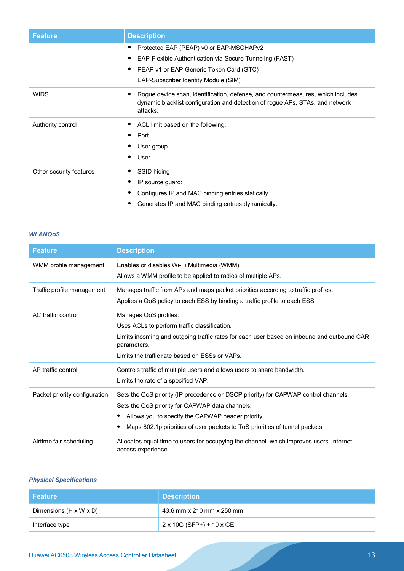| <b>Feature</b>          | <b>Description</b>                                                                                                                                                           |
|-------------------------|------------------------------------------------------------------------------------------------------------------------------------------------------------------------------|
|                         | Protected EAP (PEAP) v0 or EAP-MSCHAPv2<br>EAP-Flexible Authentication via Secure Tunneling (FAST)                                                                           |
|                         | PEAP v1 or EAP-Generic Token Card (GTC)<br>EAP-Subscriber Identity Module (SIM)                                                                                              |
| <b>WIDS</b>             | Rogue device scan, identification, defense, and countermeasures, which includes<br>dynamic blacklist configuration and detection of rogue APs, STAs, and network<br>attacks. |
| Authority control       | ACL limit based on the following:<br>Port<br>$\bullet$<br>User group<br>User                                                                                                 |
| Other security features | SSID hiding<br>IP source guard:<br>Configures IP and MAC binding entries statically.<br>Generates IP and MAC binding entries dynamically.                                    |

### *WLANQoS*

| <b>Feature</b>                | <b>Description</b>                                                                                                                                                                                                                                                                   |
|-------------------------------|--------------------------------------------------------------------------------------------------------------------------------------------------------------------------------------------------------------------------------------------------------------------------------------|
| WMM profile management        | Enables or disables Wi-Fi Multimedia (WMM).<br>Allows a WMM profile to be applied to radios of multiple APs.                                                                                                                                                                         |
| Traffic profile management    | Manages traffic from APs and maps packet priorities according to traffic profiles.<br>Applies a QoS policy to each ESS by binding a traffic profile to each ESS.                                                                                                                     |
| AC traffic control            | Manages QoS profiles.<br>Uses ACLs to perform traffic classification.<br>Limits incoming and outgoing traffic rates for each user based on inbound and outbound CAR<br>parameters.<br>Limits the traffic rate based on FSSs or VAPs.                                                 |
| AP traffic control            | Controls traffic of multiple users and allows users to share bandwidth.<br>Limits the rate of a specified VAP.                                                                                                                                                                       |
| Packet priority configuration | Sets the QoS priority (IP precedence or DSCP priority) for CAPWAP control channels.<br>Sets the QoS priority for CAPWAP data channels:<br>Allows you to specify the CAPWAP header priority.<br>٠<br>Maps 802.1p priorities of user packets to ToS priorities of tunnel packets.<br>٠ |
| Airtime fair scheduling       | Allocates equal time to users for occupying the channel, which improves users' Internet<br>access experience.                                                                                                                                                                        |

# *Physical Specifications*

| l Feature !                        | <b>Description</b>        |
|------------------------------------|---------------------------|
| Dimensions $(H \times W \times D)$ | 43.6 mm x 210 mm x 250 mm |
| Interface type                     | 2 x 10G (SFP+) + 10 x GE  |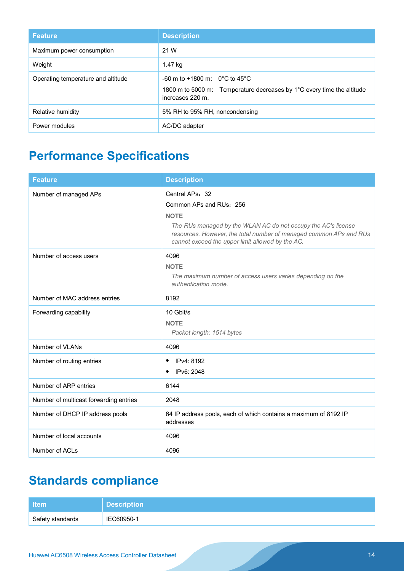| <b>Feature</b>                     | <b>Description</b>                                                                                                              |
|------------------------------------|---------------------------------------------------------------------------------------------------------------------------------|
| Maximum power consumption          | 21 W                                                                                                                            |
| Weight                             | 1.47 kg                                                                                                                         |
| Operating temperature and altitude | $-60$ m to $+1800$ m: 0°C to 45°C<br>1800 m to 5000 m: Temperature decreases by 1°C every time the altitude<br>increases 220 m. |
| Relative humidity                  | 5% RH to 95% RH, noncondensing                                                                                                  |
| Power modules                      | AC/DC adapter                                                                                                                   |

# **Performance Specifications**

| <b>Feature</b>                         | <b>Description</b>                                                                                                                                                                                                                                   |
|----------------------------------------|------------------------------------------------------------------------------------------------------------------------------------------------------------------------------------------------------------------------------------------------------|
| Number of managed APs                  | Central APs: 32<br>Common APs and RUs: 256<br><b>NOTE</b><br>The RUs managed by the WLAN AC do not occupy the AC's license<br>resources. However, the total number of managed common APs and RUs<br>cannot exceed the upper limit allowed by the AC. |
| Number of access users                 | 4096<br><b>NOTE</b><br>The maximum number of access users varies depending on the<br>authentication mode.                                                                                                                                            |
| Number of MAC address entries          | 8192                                                                                                                                                                                                                                                 |
| Forwarding capability                  | 10 Gbit/s<br><b>NOTE</b><br>Packet length: 1514 bytes                                                                                                                                                                                                |
| Number of VLANs                        | 4096                                                                                                                                                                                                                                                 |
| Number of routing entries              | IPv4: 8192<br>٠<br>IPv6: 2048                                                                                                                                                                                                                        |
| Number of ARP entries                  | 6144                                                                                                                                                                                                                                                 |
| Number of multicast forwarding entries | 2048                                                                                                                                                                                                                                                 |
| Number of DHCP IP address pools        | 64 IP address pools, each of which contains a maximum of 8192 IP<br>addresses                                                                                                                                                                        |
| Number of local accounts               | 4096                                                                                                                                                                                                                                                 |
| Number of ACLs                         | 4096                                                                                                                                                                                                                                                 |

# **Standards compliance**

| <b>Item</b>      | <b>Description</b> |
|------------------|--------------------|
| Safety standards | IEC60950-1         |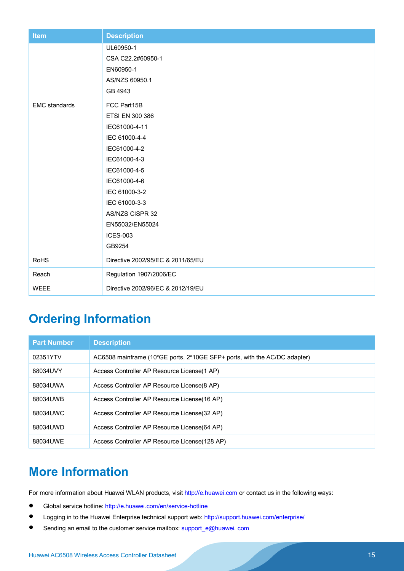| <b>Item</b>          | <b>Description</b>                                                                                                                                                                                                                    |
|----------------------|---------------------------------------------------------------------------------------------------------------------------------------------------------------------------------------------------------------------------------------|
|                      | UL60950-1<br>CSA C22.2#60950-1<br>EN60950-1<br>AS/NZS 60950.1<br>GB 4943                                                                                                                                                              |
| <b>EMC</b> standards | FCC Part15B<br>ETSI EN 300 386<br>IEC61000-4-11<br>IEC 61000-4-4<br>IEC61000-4-2<br>IEC61000-4-3<br>IEC61000-4-5<br>IEC61000-4-6<br>IEC 61000-3-2<br>IEC 61000-3-3<br>AS/NZS CISPR 32<br>EN55032/EN55024<br><b>ICES-003</b><br>GB9254 |
| <b>RoHS</b>          | Directive 2002/95/EC & 2011/65/EU                                                                                                                                                                                                     |
| Reach                | Regulation 1907/2006/EC                                                                                                                                                                                                               |
| <b>WEEE</b>          | Directive 2002/96/EC & 2012/19/EU                                                                                                                                                                                                     |

# **Ordering Information**

| <b>Part Number</b> | <b>Description</b>                                                        |
|--------------------|---------------------------------------------------------------------------|
| 02351YTV           | AC6508 mainframe (10*GE ports, 2*10GE SFP+ ports, with the AC/DC adapter) |
| 88034UVY           | Access Controller AP Resource License (1 AP)                              |
| 88034UWA           | Access Controller AP Resource License (8 AP)                              |
| 88034UWB           | Access Controller AP Resource License (16 AP)                             |
| 88034UWC           | Access Controller AP Resource License(32 AP)                              |
| 88034UWD           | Access Controller AP Resource License (64 AP)                             |
| 88034UWE           | Access Controller AP Resource License (128 AP)                            |

# **More Information**

For more information about Huawei WLAN products, visit [http://e.huawei.com](http://e.huawei.com/) or contact us in the following ways:

- Global service hotline:<http://e.huawei.com/en/service-hotline>
- Logging in to the Huawei Enterprise technical support web:<http://support.huawei.com/enterprise/>
- Sending an email to the customer service mailbox: support\_e@huawei. com